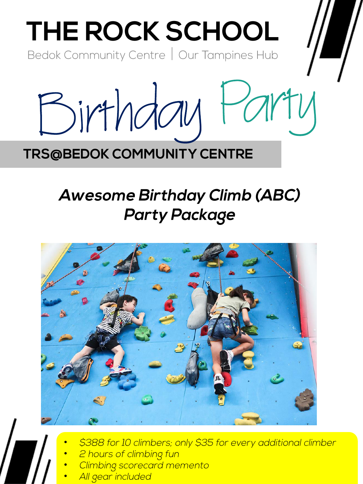

## **TRS@BEDOK COMMUNITY CENTRE**

# **Awesome Birthday Climb (ABC) Party Package**



- \$388 for 10 climbers; only \$35 for every additional climber
- 2 hours of climbing fun
- Climbing scorecard memento
- All gear included